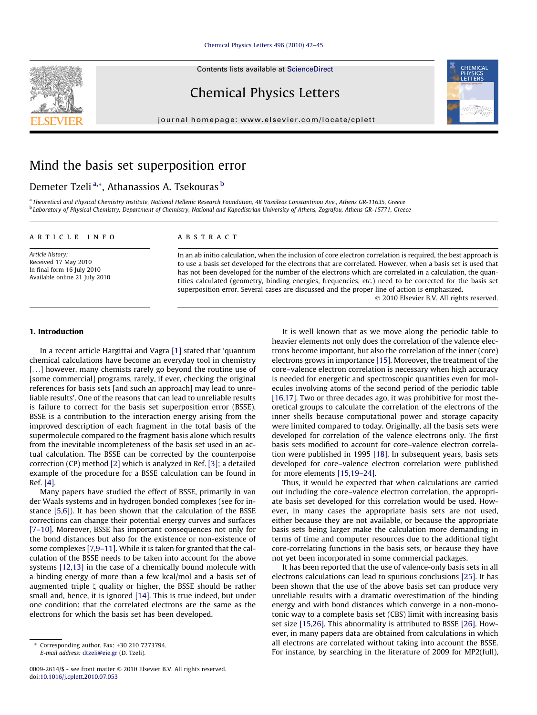#### [Chemical Physics Letters 496 \(2010\) 42–45](http://dx.doi.org/10.1016/j.cplett.2010.07.053)

Contents lists available at [ScienceDirect](http://www.sciencedirect.com/science/journal/00092614)

# Chemical Physics Letters

journal homepage: [www.elsevier.com/locate/cplett](http://www.elsevier.com/locate/cplett)



# Mind the basis set superposition error

# Demeter Tzeli <sup>a,</sup>\*, Athanassios A. Tsekouras <sup>b</sup>

a Theoretical and Physical Chemistry Institute, National Hellenic Research Foundation, 48 Vassileos Constantinou Ave., Athens GR-11635, Greece <sup>b</sup> Laboratory of Physical Chemistry, Department of Chemistry, National and Kapodistrian University of Athens, Zografou, Athens GR-15771, Greece

## article info

**ABSTRACT** 

Article history: Received 17 May 2010 In final form 16 July 2010 Available online 21 July 2010 In an ab initio calculation, when the inclusion of core electron correlation is required, the best approach is to use a basis set developed for the electrons that are correlated. However, when a basis set is used that has not been developed for the number of the electrons which are correlated in a calculation, the quantities calculated (geometry, binding energies, frequencies, etc.) need to be corrected for the basis set superposition error. Several cases are discussed and the proper line of action is emphasized. - 2010 Elsevier B.V. All rights reserved.

# 1. Introduction

In a recent article Hargittai and Vagra [\[1\]](#page-3-0) stated that 'quantum chemical calculations have become an everyday tool in chemistry [...] however, many chemists rarely go beyond the routine use of [some commercial] programs, rarely, if ever, checking the original references for basis sets [and such an approach] may lead to unreliable results'. One of the reasons that can lead to unreliable results is failure to correct for the basis set superposition error (BSSE). BSSE is a contribution to the interaction energy arising from the improved description of each fragment in the total basis of the supermolecule compared to the fragment basis alone which results from the inevitable incompleteness of the basis set used in an actual calculation. The BSSE can be corrected by the counterpoise correction (CP) method [\[2\]](#page-3-0) which is analyzed in Ref. [\[3\];](#page-3-0) a detailed example of the procedure for a BSSE calculation can be found in Ref. [\[4\]](#page-3-0).

Many papers have studied the effect of BSSE, primarily in van der Waals systems and in hydrogen bonded complexes (see for instance [\[5,6\]](#page-3-0)). It has been shown that the calculation of the BSSE corrections can change their potential energy curves and surfaces [\[7–10\].](#page-3-0) Moreover, BSSE has important consequences not only for the bond distances but also for the existence or non-existence of some complexes [\[7,9–11\]](#page-3-0). While it is taken for granted that the calculation of the BSSE needs to be taken into account for the above systems [\[12,13\]](#page-3-0) in the case of a chemically bound molecule with a binding energy of more than a few kcal/mol and a basis set of augmented triple  $\zeta$  quality or higher, the BSSE should be rather small and, hence, it is ignored [\[14\].](#page-3-0) This is true indeed, but under one condition: that the correlated electrons are the same as the electrons for which the basis set has been developed.

It is well known that as we move along the periodic table to heavier elements not only does the correlation of the valence electrons become important, but also the correlation of the inner (core) electrons grows in importance [\[15\]](#page-3-0). Moreover, the treatment of the core–valence electron correlation is necessary when high accuracy is needed for energetic and spectroscopic quantities even for molecules involving atoms of the second period of the periodic table [\[16,17\].](#page-3-0) Two or three decades ago, it was prohibitive for most theoretical groups to calculate the correlation of the electrons of the inner shells because computational power and storage capacity were limited compared to today. Originally, all the basis sets were developed for correlation of the valence electrons only. The first basis sets modified to account for core–valence electron correlation were published in 1995 [\[18\].](#page-3-0) In subsequent years, basis sets developed for core–valence electron correlation were published for more elements [\[15,19–24\].](#page-3-0)

Thus, it would be expected that when calculations are carried out including the core–valence electron correlation, the appropriate basis set developed for this correlation would be used. However, in many cases the appropriate basis sets are not used, either because they are not available, or because the appropriate basis sets being larger make the calculation more demanding in terms of time and computer resources due to the additional tight core-correlating functions in the basis sets, or because they have not yet been incorporated in some commercial packages.

It has been reported that the use of valence-only basis sets in all electrons calculations can lead to spurious conclusions [\[25\]](#page-3-0). It has been shown that the use of the above basis set can produce very unreliable results with a dramatic overestimation of the binding energy and with bond distances which converge in a non-monotonic way to a complete basis set (CBS) limit with increasing basis set size [\[15,26\]](#page-3-0). This abnormality is attributed to BSSE [\[26\]](#page-3-0). However, in many papers data are obtained from calculations in which all electrons are correlated without taking into account the BSSE. For instance, by searching in the literature of 2009 for MP2(full),



<sup>\*</sup> Corresponding author. Fax: +30 210 7273794. E-mail address: [dtzeli@eie.gr](mailto:dtzeli@eie.gr) (D. Tzeli).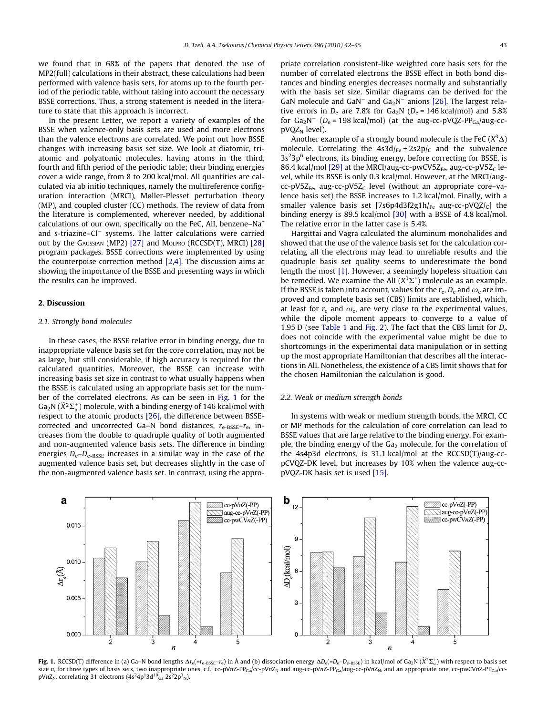we found that in 68% of the papers that denoted the use of MP2(full) calculations in their abstract, these calculations had been performed with valence basis sets, for atoms up to the fourth period of the periodic table, without taking into account the necessary BSSE corrections. Thus, a strong statement is needed in the literature to state that this approach is incorrect.

In the present Letter, we report a variety of examples of the BSSE when valence-only basis sets are used and more electrons than the valence electrons are correlated. We point out how BSSE changes with increasing basis set size. We look at diatomic, triatomic and polyatomic molecules, having atoms in the third, fourth and fifth period of the periodic table; their binding energies cover a wide range, from 8 to 200 kcal/mol. All quantities are calculated via ab initio techniques, namely the multireference configuration interaction (MRCI), Møller-Plesset perturbation theory (MP), and coupled cluster (CC) methods. The review of data from the literature is complemented, wherever needed, by additional calculations of our own, specifically on the FeC, AlI, benzene–Na+ and s-triazine-Cl<sup>-</sup> systems. The latter calculations were carried out by the GAUSSIAN (MP2) [\[27\]](#page-3-0) and MOLPRO (RCCSD(T), MRCI) [\[28\]](#page-3-0) program packages. BSSE corrections were implemented by using the counterpoise correction method [\[2,4\]](#page-3-0). The discussion aims at showing the importance of the BSSE and presenting ways in which the results can be improved.

# 2. Discussion

### 2.1. Strongly bond molecules

In these cases, the BSSE relative error in binding energy, due to inappropriate valence basis set for the core correlation, may not be as large, but still considerable, if high accuracy is required for the calculated quantities. Moreover, the BSSE can increase with increasing basis set size in contrast to what usually happens when the BSSE is calculated using an appropriate basis set for the number of the correlated electrons. As can be seen in Fig. 1 for the Ga<sub>2</sub>N ( $\widetilde{X}^2\Sigma_\text u^+$ ) molecule, with a binding energy of 146 kcal/mol with respect to the atomic products [\[26\]](#page-3-0), the difference between BSSEcorrected and uncorrected Ga–N bond distances,  $r_{e-RSSE}-r_{e}$ , increases from the double to quadruple quality of both augmented and non-augmented valence basis sets. The difference in binding energies  $D_e - D_{e-BSSE}$  increases in a similar way in the case of the augmented valence basis set, but decreases slightly in the case of the non-augmented valence basis set. In contrast, using the appropriate correlation consistent-like weighted core basis sets for the number of correlated electrons the BSSE effect in both bond distances and binding energies decreases normally and substantially with the basis set size. Similar diagrams can be derived for the GaN molecule and GaN<sup>-</sup> and Ga<sub>2</sub>N<sup>-</sup> anions [\[26\]](#page-3-0). The largest relative errors in  $D_e$  are 7.8% for  $Ga_2N$  ( $D_e$  = 146 kcal/mol) and 5.8% for  $Ga_2N^-$  ( $D_e$  = 198 kcal/mol) (at the aug-cc-pVQZ-PP<sub>Ga</sub>/aug-cc $pVQZ_N$  level).

Another example of a strongly bound molecule is the FeC  $(X^3\Delta)$ molecule. Correlating the  $4s3d_{Fe} + 2s2p_{C}$  and the subvalence  $3s<sup>2</sup>3p<sup>6</sup>$  electrons, its binding energy, before correcting for BSSE, is 86.4 kcal/mol [\[29\]](#page-3-0) at the MRCI/aug-cc-pwCV5Z<sub>Fe</sub>, aug-cc-pV5Z<sub>C</sub> level, while its BSSE is only 0.3 kcal/mol. However, at the MRCI/aug $cc$ -pV5Z<sub>Fe</sub>, aug-cc-pV5Z<sub>c</sub> level (without an appropriate core-valence basis set) the BSSE increases to 1.2 kcal/mol. Finally, with a smaller valence basis set [7s6p4d3f2g1h/ $_{Fe}$  aug-cc-pVQZ/ $_{C}$ ] the binding energy is 89.5 kcal/mol [\[30\]](#page-3-0) with a BSSE of 4.8 kcal/mol. The relative error in the latter case is 5.4%.

Hargittai and Vagra calculated the aluminum monohalides and showed that the use of the valence basis set for the calculation correlating all the electrons may lead to unreliable results and the quadruple basis set quality seems to underestimate the bond length the most [\[1\].](#page-3-0) However, a seemingly hopeless situation can be remedied. We examine the AlI ( $X<sup>1</sup>\Sigma<sup>+</sup>$ ) molecule as an example. If the BSSE is taken into account, values for the  $r_{e}$ ,  $D_{e}$  and  $\omega_{e}$  are improved and complete basis set (CBS) limits are established, which, at least for  $r_{\rm e}$  and  $\omega_{\rm e}$ , are very close to the experimental values, while the dipole moment appears to converge to a value of 1.95 D (see [Table 1](#page-2-0) and [Fig. 2](#page-2-0)). The fact that the CBS limit for  $D_e$ does not coincide with the experimental value might be due to shortcomings in the experimental data manipulation or in setting up the most appropriate Hamiltonian that describes all the interactions in AlI. Nonetheless, the existence of a CBS limit shows that for the chosen Hamiltonian the calculation is good.

#### 2.2. Weak or medium strength bonds

In systems with weak or medium strength bonds, the MRCI, CC or MP methods for the calculation of core correlation can lead to BSSE values that are large relative to the binding energy. For example, the binding energy of the  $Ga<sub>2</sub>$  molecule, for the correlation of the 4s4p3d electrons, is 31.1 kcal/mol at the RCCSD(T)/aug-ccpCVQZ-DK level, but increases by 10% when the valence aug-ccpVQZ-DK basis set is used [\[15\]](#page-3-0).



**Fig. 1.** RCCSD(T) difference in (a) Ga–N bond lengths  $\Delta r_{\rm e}$ (=r<sub>e-BSSE</sub>–r<sub>e</sub>) in Å and (b) dissociation energy  $\Delta D_{\rm e}$ (=D<sub>e</sub>–D<sub>e–</sub>B<sub>sE</sub>) in kcal/mol of Ga2N ( $\tilde{X}^2\Sigma_{\rm u}^+$ ) with respect to basis set size n, for three types of basis sets, two inappropriate ones, c.f., cc-pVnZ-PPGa/cc-pVnZ<sub>N</sub> and aug-cc-pVnZ-PP<sub>Ga</sub>/aug-cc-pVnZ<sub>N</sub>, and an appropriate one, cc-pwCVnZ-PP<sub>Ga/</sub>ccpVnZ<sub>N</sub>, correlating 31 electrons  $(4s^24p^13d^{10}_{Ga} 2s^22p^3_{N}).$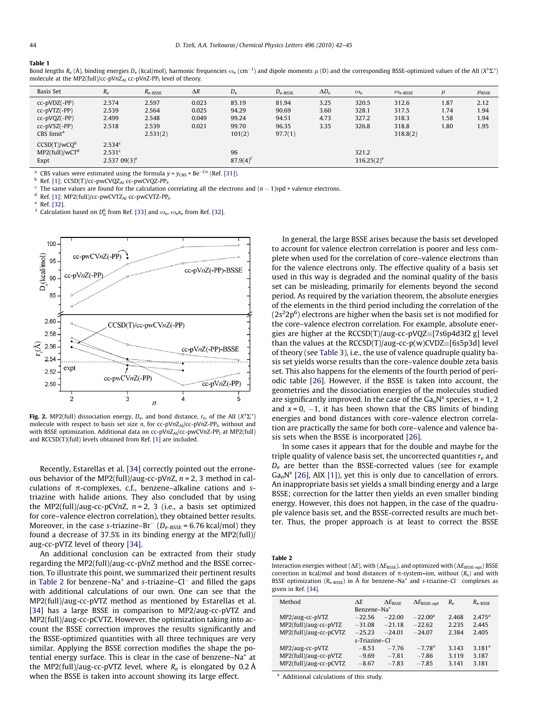#### <span id="page-2-0"></span>Table 1

|                                                                                          | Bond lengths $R_e(\hat{A})$ , binding energies $D_e$ (kcal/mol), harmonic frequencies $\omega_e$ (cm <sup>-1</sup> ) and dipole moments $\mu$ (D) and the corresponding BSSE-optimized values of the All ( $X^1\Sigma^+$ ) |
|------------------------------------------------------------------------------------------|----------------------------------------------------------------------------------------------------------------------------------------------------------------------------------------------------------------------------|
| molecule at the MP2(full)/cc-pVnZ <sub>Al</sub> cc-pVnZ-PP <sub>1</sub> level of theory. |                                                                                                                                                                                                                            |

| Basis Set                                                                                      | $R_{\rm e}$                                                | $R_{e-BSSE}$                                 | $\Delta R$                       | $D_{\rm e}$                                | $D_{\text{e-BSSE}}$                         | $\Delta D_e$                 | $\omega_{\rm e}$                 | $\omega_{\text{e-BSSE}}$                     | $\mu$                        | $\mu_{\text{BSSE}}$          |
|------------------------------------------------------------------------------------------------|------------------------------------------------------------|----------------------------------------------|----------------------------------|--------------------------------------------|---------------------------------------------|------------------------------|----------------------------------|----------------------------------------------|------------------------------|------------------------------|
| $cc-pVDZ(-PP)$<br>$cc-pVTZ(-PP)$<br>$cc-pVQZ(-PP)$<br>$cc-pV5Z(-PP)$<br>CBS limit <sup>a</sup> | 2.574<br>2.539<br>2.499<br>2.518                           | 2.597<br>2.564<br>2.548<br>2.539<br>2.531(2) | 0.023<br>0.025<br>0.049<br>0.021 | 85.19<br>94.29<br>99.24<br>99.70<br>101(2) | 81.94<br>90.69<br>94.51<br>96.35<br>97.7(1) | 3.25<br>3.60<br>4.73<br>3.35 | 320.5<br>328.1<br>327.2<br>326.8 | 312.6<br>317.5<br>318.3<br>318.8<br>318.8(2) | 1.87<br>1.74<br>1.58<br>1.80 | 2.12<br>1.94<br>1.94<br>1.95 |
| $CCSD(T)/wCQ^b$<br>$MP2$ (full)/wCT <sup>d</sup><br>Expt                                       | 2.534 <sup>c</sup><br>2.531 <sup>c</sup><br>$2.53709(3)^e$ |                                              |                                  | 96<br>$87.9(4)$ <sup>f</sup>               |                                             |                              | 321.2<br>$316.25(2)^e$           |                                              |                              |                              |

<sup>a</sup> CBS values were estimated using the formula  $y = y_{\text{CBS}} + \text{Be}^{-\text{C}n}$  (Ref. [\[31\]\)](#page-3-0).

 $^{\rm b}$  Ref. [\[1\];](#page-3-0) CCSD(T)/cc-pwCVQZ<sub>Al</sub> cc-pwCVQZ-PP<sub>I</sub>.<br><sup>c</sup> The same values are found for the calculation correlating all the electrons and (n – 1)spd + valence electrons.

<sup>d</sup> Ref. [\[1\];](#page-3-0) MP2(full)/cc-pwCVTZ<sub>Al</sub> cc-pwCVTZ-PP<sub>I</sub>.<br><sup>e</sup> Ref. [\[32\]](#page-3-0).

<sup>f</sup> Calculation based on  $D_0^0$  from Ref. [\[33\]](#page-3-0) and  $\omega_{\rm e}$ ,  $\omega_{\rm e}$ x<sub>e</sub> from Ref. [\[32\].](#page-3-0)



Fig. 2. MP2(full) dissociation energy,  $D_{\rm e}$ , and bond distance,  $r_{\rm e}$ , of the AlI  $(X^1\Sigma^+)$ molecule with respect to basis set size n, for cc-pVnZ<sub>Al</sub>/cc-pVnZ-PP<sub>I</sub>, without and with BSSE optimization. Additional data on cc-pVnZ<sub>Al</sub>/cc-pwCVnZ-PP<sub>1</sub> at MP2(full) and RCCSD(T)(full) levels obtained from Ref. [\[1\]](#page-3-0) are included.

Recently, Estarellas et al. [\[34\]](#page-3-0) correctly pointed out the erroneous behavior of the MP2(full)/aug-cc-pVnZ,  $n = 2$ , 3 method in calculations of  $\pi$ -complexes, c.f., benzene–alkaline cations and striazine with halide anions. They also concluded that by using the MP2(full)/aug-cc-pCVnZ,  $n = 2$ , 3 (i.e., a basis set optimized for core–valence electron correlation), they obtained better results. Moreover, in the case s-triazine– $Br^{-} (D_{e\text{-}BSSE} = 6.76 \text{ kcal/mol})$  they found a decrease of 37.5% in its binding energy at the MP2(full)/ aug-cc-pVTZ level of theory [\[34\]](#page-3-0).

An additional conclusion can be extracted from their study regarding the MP2(full)/aug-cc-pVnZ method and the BSSE correction. To illustrate this point, we summarized their pertinent results in Table 2 for benzene–Na<sup>+</sup> and s-triazine–Cl<sup>–</sup> and filled the gaps with additional calculations of our own. One can see that the MP2(full)/aug-cc-pVTZ method as mentioned by Estarellas et al. [\[34\]](#page-3-0) has a large BSSE in comparison to MP2/aug-cc-pVTZ and MP2(full)/aug-cc-pCVTZ. However, the optimization taking into account the BSSE correction improves the results significantly and the BSSE-optimized quantities with all three techniques are very similar. Applying the BSSE correction modifies the shape the potential energy surface. This is clear in the case of benzene–Na<sup>+</sup> at the MP2(full)/aug-cc-pVTZ level, where  $R_e$  is elongated by 0.2 Å when the BSSE is taken into account showing its large effect.

In general, the large BSSE arises because the basis set developed to account for valence electron correlation is poorer and less complete when used for the correlation of core–valence electrons than for the valence electrons only. The effective quality of a basis set used in this way is degraded and the nominal quality of the basis set can be misleading, primarily for elements beyond the second period. As required by the variation theorem, the absolute energies of the elements in the third period including the correlation of the  $(2s<sup>2</sup>2p<sup>6</sup>)$  electrons are higher when the basis set is not modified for the core–valence electron correlation. For example, absolute energies are higher at the  $RCCSD(T)/aug-cc-pVQZ=[7s6p4d3f2 g]$  level than the values at the  $RCCSD(T)/aug-cc-p(w)CVDZ=[6s5p3d]$  level of theory (see [Table 3\)](#page-3-0), i.e., the use of valence quadruple quality basis set yields worse results than the core–valence double zeta basis set. This also happens for the elements of the fourth period of periodic table [\[26\]](#page-3-0). However, if the BSSE is taken into account, the geometries and the dissociation energies of the molecules studied are significantly improved. In the case of the  $Ga_nN^x$  species,  $n = 1, 2$ and  $x = 0$ ,  $-1$ , it has been shown that the CBS limits of binding energies and bond distances with core–valence electron correlation are practically the same for both core–valence and valence basis sets when the BSSE is incorporated [\[26\]](#page-3-0).

In some cases it appears that for the double and maybe for the triple quality of valence basis set, the uncorrected quantities  $r_{e}$  and  $D_e$  are better than the BSSE-corrected values (see for example  $Ga_nN^x$  [\[26\]](#page-3-0), AIX [\[1\]](#page-3-0)), yet this is only due to cancellation of errors. An inappropriate basis set yields a small binding energy and a large BSSE; correction for the latter then yields an even smaller binding energy. However, this does not happen, in the case of the quadruple valence basis set, and the BSSE-corrected results are much better. Thus, the proper approach is at least to correct the BSSE

#### Table 2

Interaction energies without ( $\Delta E$ ), with ( $\Delta E_{\rm BSSE}$ ), and optimized with ( $\Delta E_{\rm BSSE-opt}$ ) BSSE correction in kcal/mol and bond distances of  $\pi$ -system–ion, without ( $R_e$ ) and with BSSE optimization ( $R_{e\text{-BSSE}}$ ) in Å for benzene–Na<sup>+</sup> and s-triazine–Cl<sup>-</sup> complexes as given in Ref. [\[34\].](#page-3-0)

| Method                     | ΛE                      | $\Delta E_{\rm{BSSE}}$ | $\Delta E_{\rm BSSE-opt}$ | $R_e$ | $R_{e-BSSE}$       |
|----------------------------|-------------------------|------------------------|---------------------------|-------|--------------------|
|                            | Benzene-Na <sup>+</sup> |                        |                           |       |                    |
| MP2/aug-cc-pVTZ            | $-22.56$                | $-22.00$               | $-22.00a$                 | 2.468 | 2.475 <sup>a</sup> |
| MP2(full)/aug-cc-pVTZ      | $-31.08$                | $-21.18$               | $-22.62$                  | 2.235 | 2.445              |
| MP2(full)/aug-cc-pCVTZ     | $-25.23$                | $-24.01$               | $-24.07$                  | 2.384 | 2.405              |
| s-Triazine-Cl <sup>-</sup> |                         |                        |                           |       |                    |
| MP2/aug-cc-pVTZ            | $-8.53$                 | $-7.76$                | $-7.78$ <sup>a</sup>      | 3.143 | 3.181 <sup>a</sup> |
| MP2(full)/aug-cc-pVTZ      | $-9.69$                 | $-7.81$                | $-7.86$                   | 3.119 | 3.187              |
| MP2(full)/aug-cc-pCVTZ     | $-8.67$                 | $-7.83$                | $-7.85$                   | 3.141 | 3.181              |
|                            |                         |                        |                           |       |                    |

<sup>a</sup> Additional calculations of this study.